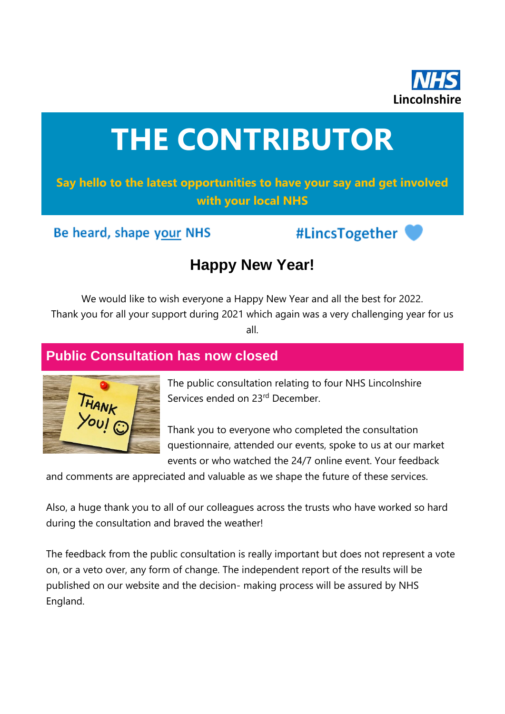

# **THE CONTRIBUTOR**

**Say hello to the latest opportunities to have your say and get involved with your local NHS**

Be heard, shape your NHS

#LincsTogether



# **Happy New Year!**

We would like to wish everyone a Happy New Year and all the best for 2022. Thank you for all your support during 2021 which again was a very challenging year for us all.

## **Public Consultation has now closed**



The public consultation relating to four NHS Lincolnshire Services ended on 23rd December.

Thank you to everyone who completed the consultation questionnaire, attended our events, spoke to us at our market events or who watched the 24/7 online event. Your feedback

and comments are appreciated and valuable as we shape the future of these services.

Also, a huge thank you to all of our colleagues across the trusts who have worked so hard during the consultation and braved the weather!

The feedback from the public consultation is really important but does not represent a vote on, or a veto over, any form of change. The independent report of the results will be published on our website and the decision- making process will be assured by NHS England.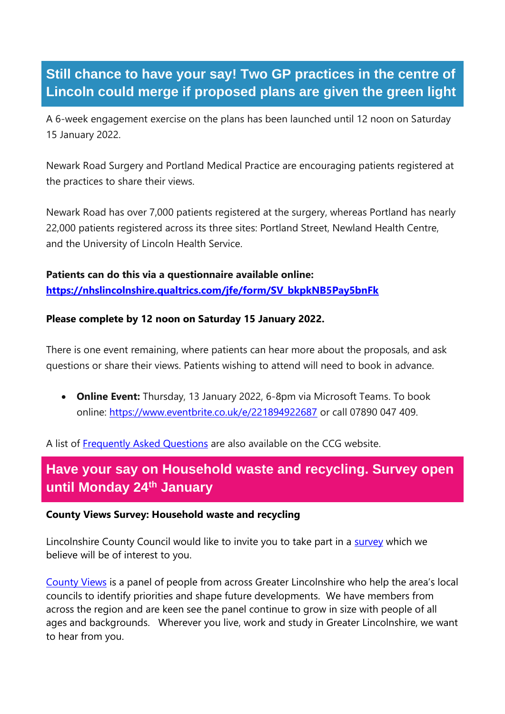# **Still chance to have your say! Two GP practices in the centre of Lincoln could merge if proposed plans are given the green light**

A 6-week engagement exercise on the plans has been launched until 12 noon on Saturday 15 January 2022.

Newark Road Surgery and Portland Medical Practice are encouraging patients registered at the practices to share their views.

Newark Road has over 7,000 patients registered at the surgery, whereas Portland has nearly 22,000 patients registered across its three sites: Portland Street, Newland Health Centre, and the University of Lincoln Health Service.

#### **Patients can do this via a questionnaire available online: [https://nhslincolnshire.qualtrics.com/jfe/form/SV\\_bkpkNB5Pay5bnFk](https://nhslincolnshire.qualtrics.com/jfe/form/SV_bkpkNB5Pay5bnFk)**

#### **Please complete by 12 noon on Saturday 15 January 2022.**

There is one event remaining, where patients can hear more about the proposals, and ask questions or share their views. Patients wishing to attend will need to book in advance.

• **Online Event:** Thursday, 13 January 2022, 6-8pm via Microsoft Teams. To book online:<https://www.eventbrite.co.uk/e/221894922687> or call 07890 047 409.

A list of [Frequently Asked Questions](https://lincolnshireccg.nhs.uk/two-gp-practices-in-the-centre-of-lincoln-could-merge-if-proposed-plans-are-given-the-green-light/) are also available on the CCG website.

# **Have your say on Household waste and recycling. Survey open until Monday 24th January**

#### **County Views Survey: Household waste and recycling**

Lincolnshire County Council would like to invite you to take part in a [survey](https://www.letstalk.lincolnshire.gov.uk/county-views-survey-november-2021/survey_tools/county-views-survey-november-2021) which we believe will be of interest to you.

[County Views](https://www.letstalk.lincolnshire.gov.uk/hub-page/county-views) is a panel of people from across Greater Lincolnshire who help the area's local councils to identify priorities and shape future developments. We have members from across the region and are keen see the panel continue to grow in size with people of all ages and backgrounds. Wherever you live, work and study in Greater Lincolnshire, we want to hear from you.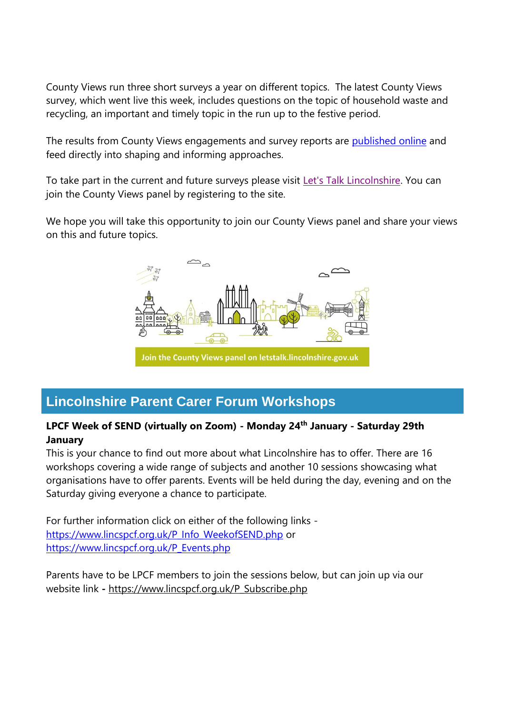County Views run three short surveys a year on different topics. The latest County Views survey, which went live this week, includes questions on the topic of household waste and recycling, an important and timely topic in the run up to the festive period.

The results from County Views engagements and survey reports are [published online](https://www.letstalk.lincolnshire.gov.uk/county-views-reports) and feed directly into shaping and informing approaches.

To take part in the current and future surveys please visit [Let's Talk Lincolnshire.](https://www.letstalk.lincolnshire.gov.uk/) You can join the County Views panel by registering to the site.

We hope you will take this opportunity to join our County Views panel and share your views on this and future topics.



# **Lincolnshire Parent Carer Forum Workshops**

#### **LPCF Week of SEND (virtually on Zoom) - Monday 24th January - Saturday 29th January**

This is your chance to find out more about what Lincolnshire has to offer. There are 16 workshops covering a wide range of subjects and another 10 sessions showcasing what organisations have to offer parents. Events will be held during the day, evening and on the Saturday giving everyone a chance to participate.

For further information click on either of the following links [https://www.lincspcf.org.uk/P\\_Info\\_WeekofSEND.php](https://www.lincspcf.org.uk/P_Info_WeekofSEND.php) or [https://www.lincspcf.org.uk/P\\_Events.php](https://www.lincspcf.org.uk/P_Events.php)

Parents have to be LPCF members to join the sessions below, but can join up via our website link **-** [https://www.lincspcf.org.uk/P\\_Subscribe.php](https://www.lincspcf.org.uk/P_Subscribe.php)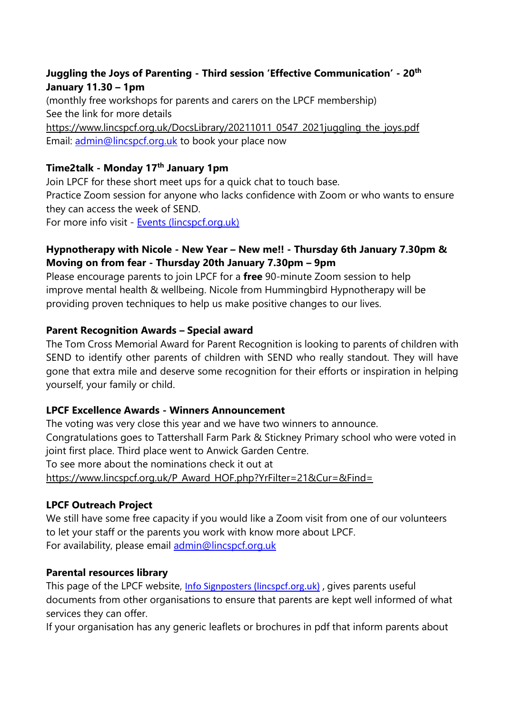#### **Juggling the Joys of Parenting - Third session 'Effective Communication' - 20th January 11.30 – 1pm**

(monthly free workshops for parents and carers on the LPCF membership) See the link for more details [https://www.lincspcf.org.uk/DocsLibrary/20211011\\_0547\\_2021juggling\\_the\\_joys.pdf](https://www.lincspcf.org.uk/DocsLibrary/20211011_0547_2021juggling_the_joys.pdf) Email: [admin@lincspcf.org.uk](mailto:admin@lincspcf.org.uk) to book your place now

#### **Time2talk - Monday 17th January 1pm**

Join LPCF for these short meet ups for a quick chat to touch base. Practice Zoom session for anyone who lacks confidence with Zoom or who wants to ensure they can access the week of SEND. For more info visit - [Events \(lincspcf.org.uk\)](https://www.lincspcf.org.uk/P_Events.php)

#### **Hypnotherapy with Nicole - New Year – New me!! - Thursday 6th January 7.30pm & Moving on from fear - Thursday 20th January 7.30pm – 9pm**

Please encourage parents to join LPCF for a **free** 90-minute Zoom session to help improve mental health & wellbeing. Nicole from Hummingbird Hypnotherapy will be providing proven techniques to help us make positive changes to our lives.

#### **Parent Recognition Awards – Special award**

The Tom Cross Memorial Award for Parent Recognition is looking to parents of children with SEND to identify other parents of children with SEND who really standout. They will have gone that extra mile and deserve some recognition for their efforts or inspiration in helping yourself, your family or child.

#### **LPCF Excellence Awards - Winners Announcement**

The voting was very close this year and we have two winners to announce. Congratulations goes to Tattershall Farm Park & Stickney Primary school who were voted in ioint first place. Third place went to Anwick Garden Centre. To see more about the nominations check it out at [https://www.lincspcf.org.uk/P\\_Award\\_HOF.php?YrFilter=21&Cur=&Find=](https://www.lincspcf.org.uk/P_Award_HOF.php?YrFilter=21&Cur=&Find=) 

#### **LPCF Outreach Project**

We still have some free capacity if you would like a Zoom visit from one of our volunteers to let your staff or the parents you work with know more about LPCF. For availability, please email [admin@lincspcf.org.uk](mailto:admin@lincspcf.org.uk)

#### **Parental resources library**

This page of the LPCF website, *[Info Signposters \(lincspcf.org.uk\)](https://www.lincspcf.org.uk/P_Info_Resources_List.php)*, gives parents useful documents from other organisations to ensure that parents are kept well informed of what services they can offer.

If your organisation has any generic leaflets or brochures in pdf that inform parents about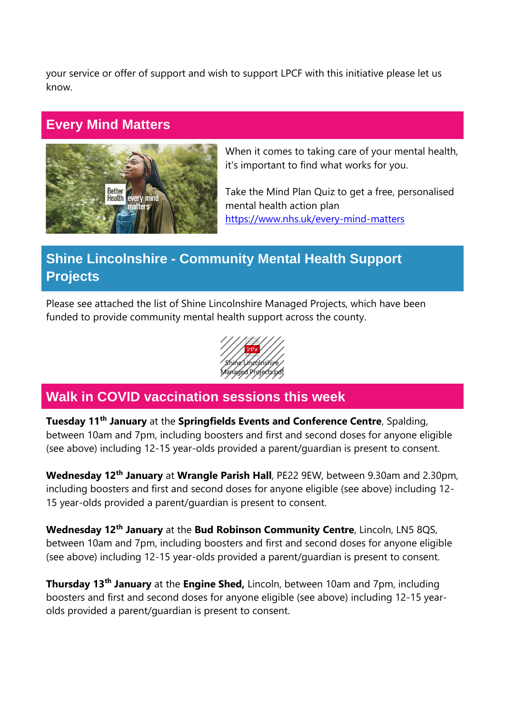your service or offer of support and wish to support LPCF with this initiative please let us know.

## **Every Mind Matters**



When it comes to taking care of your mental health, it's important to find what works for you.

Take the Mind Plan Quiz to get a free, personalised mental health action plan <https://www.nhs.uk/every-mind-matters>

# **Shine Lincolnshire - Community Mental Health Support Projects**

Please see attached the list of Shine Lincolnshire Managed Projects, which have been funded to provide community mental health support across the county.



## **Walk in COVID vaccination sessions this week**

**Tuesday 11th January** at the **Springfields Events and Conference Centre**, Spalding, between 10am and 7pm, including boosters and first and second doses for anyone eligible (see above) including 12-15 year-olds provided a parent/guardian is present to consent.

**Wednesday 12th January** at **Wrangle Parish Hall**, PE22 9EW, between 9.30am and 2.30pm, including boosters and first and second doses for anyone eligible (see above) including 12- 15 year-olds provided a parent/guardian is present to consent.

**Wednesday 12th January** at the **Bud Robinson Community Centre**, Lincoln, LN5 8QS, between 10am and 7pm, including boosters and first and second doses for anyone eligible (see above) including 12-15 year-olds provided a parent/guardian is present to consent.

**Thursday 13th January** at the **Engine Shed,** Lincoln, between 10am and 7pm, including boosters and first and second doses for anyone eligible (see above) including 12-15 yearolds provided a parent/guardian is present to consent.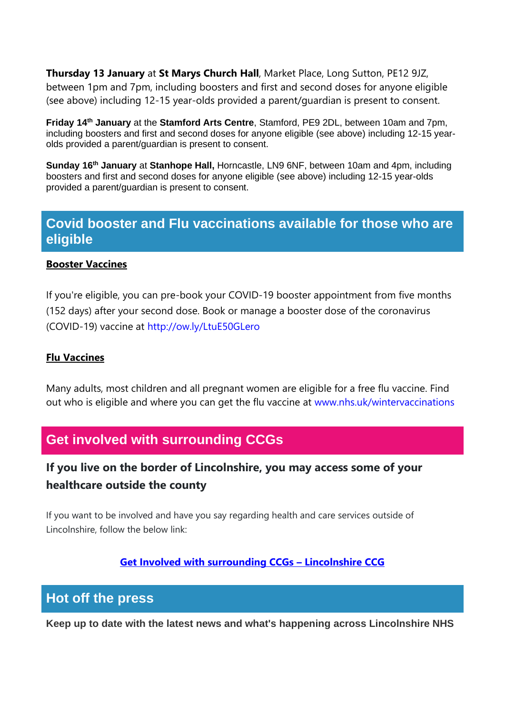**Thursday 13 January** at **St Marys Church Hall**, Market Place, Long Sutton, PE12 9JZ, between 1pm and 7pm, including boosters and first and second doses for anyone eligible (see above) including 12-15 year-olds provided a parent/guardian is present to consent.

**Friday 14th January** at the **Stamford Arts Centre**, Stamford, PE9 2DL, between 10am and 7pm, including boosters and first and second doses for anyone eligible (see above) including 12-15 yearolds provided a parent/guardian is present to consent.

**Sunday 16th January** at **Stanhope Hall,** Horncastle, LN9 6NF, between 10am and 4pm, including boosters and first and second doses for anyone eligible (see above) including 12-15 year-olds provided a parent/guardian is present to consent.

## **Covid booster and Flu vaccinations available for those who are eligible**

#### **Booster Vaccines**

If you're eligible, you can pre-book your COVID-19 booster appointment from five months (152 days) after your second dose. Book or manage a booster dose of the coronavirus (COVID-19) vaccine at [http://ow.ly/LtuE50GLero](http://ow.ly/LtuE50GLero?fbclid=IwAR3XJEWleqYaBsRKKEZvzOQTPhh6xJMHMX7CjAbY_UUfz6ZWyBf0D1-L7zQ)

#### **Flu Vaccines**

Many adults, most children and all pregnant women are eligible for a free flu vaccine. Find out who is eligible and where you can get the flu vaccine at [www.nhs.uk/wintervaccinations](http://www.nhs.uk/wintervaccinations?fbclid=IwAR1SzErYHhJMDfl_VlN1aZcnq-67N6npy7XQ2Y4ZA4Yp1fEVZXhfvNfkDrs)

## **Get involved with surrounding CCGs**

## **If you live on the border of Lincolnshire, you may access some of your healthcare outside the county**

If you want to be involved and have you say regarding health and care services outside of Lincolnshire, follow the below link:

#### **[Get Involved with surrounding CCGs](https://lincolnshireccg.nhs.uk/get-involved/how-to-get-involved/get-involved-with-surrounding-ccgs/) – Lincolnshire CCG**

## **Hot off the press**

**Keep up to date with the latest news and what's happening across Lincolnshire NHS**